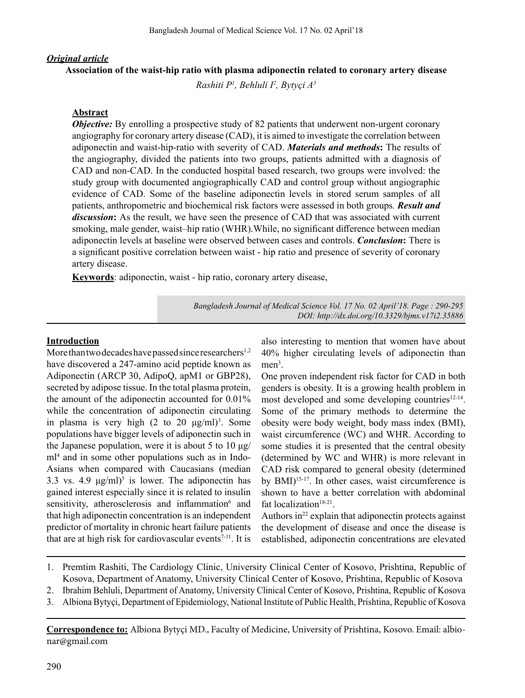#### *Original article*

#### **Association of the waist-hip ratio with plasma adiponectin related to coronary artery disease**

*Rashiti P1 , Behluli I2 , Bytyçi A3*

#### **Abstract**

*Objective:* By enrolling a prospective study of 82 patients that underwent non-urgent coronary angiography for coronary artery disease (CAD), it is aimed to investigate the correlation between adiponectin and waist-hip-ratio with severity of CAD. *Materials and methods***:** The results of the angiography, divided the patients into two groups, patients admitted with a diagnosis of CAD and non-CAD. In the conducted hospital based research, two groups were involved: the study group with documented angiographically CAD and control group without angiographic evidence of CAD. Some of the baseline adiponectin levels in stored serum samples of all patients, anthropometric and biochemical risk factors were assessed in both groups*. Result and discussion***:** As the result, we have seen the presence of CAD that was associated with current smoking, male gender, waist–hip ratio (WHR).While, no significant difference between median adiponectin levels at baseline were observed between cases and controls. *Conclusion***:** There is a significant positive correlation between waist - hip ratio and presence of severity of coronary artery disease.

**Keywords**: adiponectin, waist - hip ratio, coronary artery disease,

*Bangladesh Journal of Medical Science Vol. 17 No. 02 April'18. Page : 290-295 DOI: http://dx.doi.org/10.3329/bjms.v17i2.35886*

#### **Introduction**

More than two decades have passed since researchers<sup>1,2</sup> have discovered a 247-amino acid peptide known as Adiponectin (ARCP 30, AdipoQ, apM1 or GBP28), secreted by adipose tissue. In the total plasma protein, the amount of the adiponectin accounted for 0.01% while the concentration of adiponectin circulating in plasma is very high  $(2 \text{ to } 20 \text{ µg/ml})^3$ . Some populations have bigger levels of adiponectin such in the Japanese population, were it is about 5 to 10  $\mu$ g/ ml<sup>4</sup> and in some other populations such as in Indo-Asians when compared with Caucasians (median 3.3 vs. 4.9  $\mu$ g/ml)<sup>5</sup> is lower. The adiponectin has gained interest especially since it is related to insulin sensitivity, atherosclerosis and inflammation<sup>6</sup> and that high adiponectin concentration is an independent predictor of mortality in chronic heart failure patients that are at high risk for cardiovascular events<sup> $7-11$ </sup>. It is

also interesting to mention that women have about 40% higher circulating levels of adiponectin than men<sup>3</sup>.

One proven independent risk factor for CAD in both genders is obesity. It is a growing health problem in most developed and some developing countries<sup>12-14</sup>. Some of the primary methods to determine the obesity were body weight, body mass index (BMI), waist circumference (WC) and WHR. According to some studies it is presented that the central obesity (determined by WC and WHR) is more relevant in CAD risk compared to general obesity (determined by  $BMI)^{15-17}$ . In other cases, waist circumference is shown to have a better correlation with abdominal fat localization<sup>18-21</sup>.

Authors in $2<sup>2</sup>$  explain that adiponectin protects against the development of disease and once the disease is established, adiponectin concentrations are elevated

- 1. Premtim Rashiti, The Cardiology Clinic, University Clinical Center of Kosovo, Prishtina, Republic of Kosova, Department of Anatomy, University Clinical Center of Kosovo, Prishtina, Republic of Kosova
- 2. Ibrahim Behluli, Department of Anatomy, University Clinical Center of Kosovo, Prishtina, Republic of Kosova
- 3. Albiona Bytyçi, Department of Epidemiology, National Institute of Public Health, Prishtina, Republic of Kosova

**Correspondence to:** Albiona Bytyçi MD., Faculty of Medicine, University of Prishtina, Kosovo. Email: albionar@gmail.com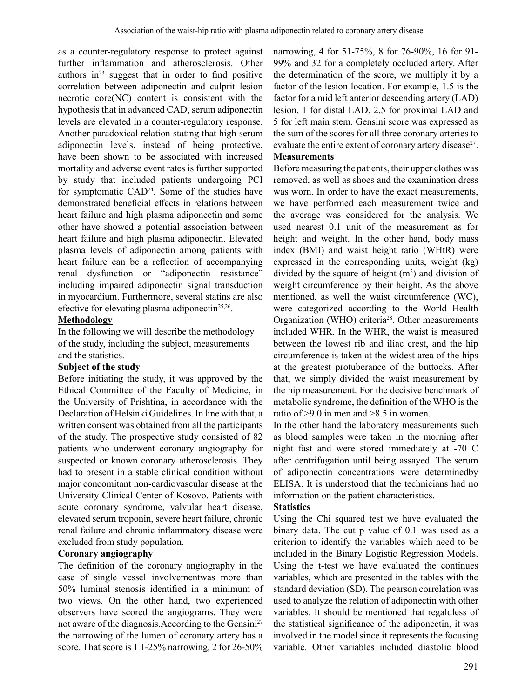as a counter-regulatory response to protect against further inflammation and atherosclerosis. Other authors  $in<sup>23</sup>$  suggest that in order to find positive correlation between adiponectin and culprit lesion necrotic core(NC) content is consistent with the hypothesis that in advanced CAD, serum adiponectin levels are elevated in a counter-regulatory response. Another paradoxical relation stating that high serum adiponectin levels, instead of being protective, have been shown to be associated with increased mortality and adverse event rates is further supported by study that included patients undergoing PCI for symptomatic CAD<sup>24</sup>. Some of the studies have demonstrated beneficial effects in relations between heart failure and high plasma adiponectin and some other have showed a potential association between heart failure and high plasma adiponectin. Elevated plasma levels of adiponectin among patients with heart failure can be a reflection of accompanying renal dysfunction or "adiponectin resistance" including impaired adiponectin signal transduction in myocardium. Furthermore, several statins are also efective for elevating plasma adiponectin<sup>25,26</sup>.

### **Methodology**

In the following we will describe the methodology of the study, including the subject, measurements and the statistics.

## **Subject of the study**

Before initiating the study, it was approved by the Ethical Committee of the Faculty of Medicine, in the University of Prishtina, in accordance with the Declaration of Helsinki Guidelines. In line with that, a written consent was obtained from all the participants of the study. The prospective study consisted of 82 patients who underwent coronary angiography for suspected or known coronary atherosclerosis. They had to present in a stable clinical condition without major concomitant non-cardiovascular disease at the University Clinical Center of Kosovo. Patients with acute coronary syndrome, valvular heart disease, elevated serum troponin, severe heart failure, chronic renal failure and chronic inflammatory disease were excluded from study population.

# **Coronary angiography**

The definition of the coronary angiography in the case of single vessel involvementwas more than 50% luminal stenosis identified in a minimum of two views. On the other hand, two experienced observers have scored the angiograms. They were not aware of the diagnosis. According to the Gensini<sup>27</sup> the narrowing of the lumen of coronary artery has a score. That score is 1 1-25% narrowing, 2 for 26-50%

narrowing, 4 for 51-75%, 8 for 76-90%, 16 for 91- 99% and 32 for a completely occluded artery. After the determination of the score, we multiply it by a factor of the lesion location. For example, 1.5 is the factor for a mid left anterior descending artery (LAD) lesion, 1 for distal LAD, 2.5 for proximal LAD and 5 for left main stem. Gensini score was expressed as the sum of the scores for all three coronary arteries to evaluate the entire extent of coronary artery disease<sup>27</sup>.

### **Measurements**

Before measuring the patients, their upper clothes was removed, as well as shoes and the examination dress was worn. In order to have the exact measurements, we have performed each measurement twice and the average was considered for the analysis. We used nearest 0.1 unit of the measurement as for height and weight. In the other hand, body mass index (BMI) and waist height ratio (WHtR) were expressed in the corresponding units, weight (kg) divided by the square of height  $(m<sup>2</sup>)$  and division of weight circumference by their height. As the above mentioned, as well the waist circumference (WC), were categorized according to the World Health Organization (WHO) criteria<sup>28</sup>. Other measurements included WHR. In the WHR, the waist is measured between the lowest rib and iliac crest, and the hip circumference is taken at the widest area of the hips at the greatest protuberance of the buttocks. After that, we simply divided the waist measurement by the hip measurement. For the decisive benchmark of metabolic syndrome, the definition of the WHO is the ratio of >9.0 in men and >8.5 in women.

In the other hand the laboratory measurements such as blood samples were taken in the morning after night fast and were stored immediately at -70 C after centrifugation until being assayed. The serum of adiponectin concentrations were determinedby ELISA. It is understood that the technicians had no information on the patient characteristics.

## **Statistics**

Using the Chi squared test we have evaluated the binary data. The cut p value of 0.1 was used as a criterion to identify the variables which need to be included in the Binary Logistic Regression Models. Using the t-test we have evaluated the continues variables, which are presented in the tables with the standard deviation (SD). The pearson correlation was used to analyze the relation of adiponectin with other variables. It should be mentioned that regaldless of the statistical significance of the adiponectin, it was involved in the model since it represents the focusing variable. Other variables included diastolic blood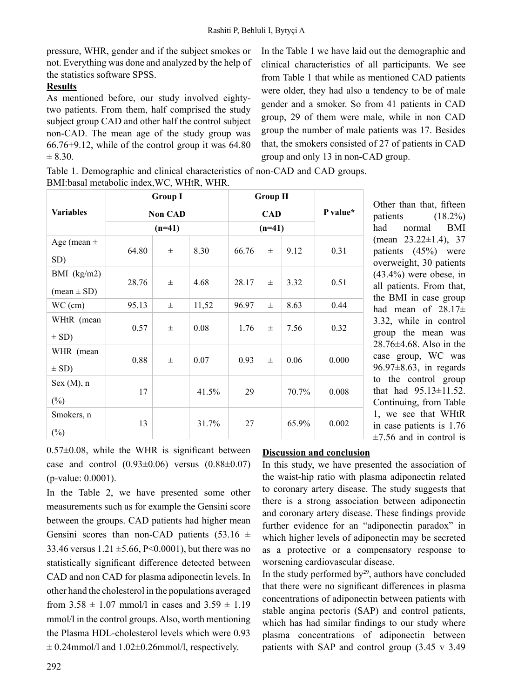pressure, WHR, gender and if the subject smokes or not. Everything was done and analyzed by the help of the statistics software SPSS.

# **Results**

As mentioned before, our study involved eightytwo patients. From them, half comprised the study subject group CAD and other half the control subject non-CAD. The mean age of the study group was 66.76+9.12, while of the control group it was 64.80  $\pm 8.30.$ 

In the Table 1 we have laid out the demographic and clinical characteristics of all participants. We see from Table 1 that while as mentioned CAD patients were older, they had also a tendency to be of male gender and a smoker. So from 41 patients in CAD group, 29 of them were male, while in non CAD group the number of male patients was 17. Besides that, the smokers consisted of 27 of patients in CAD group and only 13 in non-CAD group.

Table 1. Demographic and clinical characteristics of non-CAD and CAD groups. BMI:basal metabolic index,WC, WHtR, WHR.

|                               | <b>Group I</b><br><b>Non CAD</b><br>$(n=41)$ |       |       |                        | <b>Group II</b> |       |          |  |
|-------------------------------|----------------------------------------------|-------|-------|------------------------|-----------------|-------|----------|--|
| <b>Variables</b>              |                                              |       |       | <b>CAD</b><br>$(n=41)$ |                 |       | P value* |  |
|                               |                                              |       |       |                        |                 |       |          |  |
| Age (mean $\pm$               | 64.80                                        | $\pm$ | 8.30  | 66.76                  | $+$             | 9.12  | 0.31     |  |
| SD)                           |                                              |       |       |                        |                 |       |          |  |
| BMI $(kg/m2)$                 |                                              |       |       |                        |                 |       |          |  |
| $(\text{mean} \pm \text{SD})$ | 28.76                                        | $\pm$ | 4.68  | 28.17                  | $\pm$           | 3.32  | 0.51     |  |
| $WC$ (cm)                     | 95.13                                        | $\pm$ | 11,52 | 96.97                  | $_{\pm}$        | 8.63  | 0.44     |  |
| WHtR (mean                    | 0.57                                         | $\pm$ | 0.08  | 1.76                   | $\pm$           | 7.56  | 0.32     |  |
| $\pm$ SD)                     |                                              |       |       |                        |                 |       |          |  |
| WHR (mean                     |                                              |       | 0.07  | 0.93                   | $\pm$           | 0.06  | 0.000    |  |
| $\pm$ SD)                     | 0.88                                         | $\pm$ |       |                        |                 |       |          |  |
| Sex (M), n                    |                                              |       |       |                        |                 |       |          |  |
| $(\%)$                        | 17                                           |       | 41.5% | 29                     |                 | 70.7% | 0.008    |  |
| Smokers, n                    |                                              |       | 31.7% | 27                     |                 | 65.9% | 0.002    |  |
| $(\%)$                        | 13                                           |       |       |                        |                 |       |          |  |

Other than that, fifteen patients (18.2%) had normal BMI (mean  $23.22 \pm 1.4$ ), 37 patients (45%) were overweight, 30 patients (43.4%) were obese, in all patients. From that, the BMI in case group had mean of 28.17± 3.32, while in control group the mean was 28.76±4.68. Also in the case group, WC was 96.97±8.63, in regards to the control group that had 95.13±11.52. Continuing, from Table 1, we see that WHtR in case patients is 1.76  $\pm 7.56$  and in control is

 $0.57\pm0.08$ , while the WHR is significant between case and control  $(0.93 \pm 0.06)$  versus  $(0.88 \pm 0.07)$ (p-value: 0.0001).

In the Table 2, we have presented some other measurements such as for example the Gensini score between the groups. CAD patients had higher mean Gensini scores than non-CAD patients  $(53.16 \pm$ 33.46 versus  $1.21 \pm 5.66$ , P<0.0001), but there was no statistically significant difference detected between CAD and non CAD for plasma adiponectin levels. In other hand the cholesterol in the populations averaged from  $3.58 \pm 1.07$  mmol/l in cases and  $3.59 \pm 1.19$ mmol/l in the control groups.Also, worth mentioning the Plasma HDL-cholesterol levels which were 0.93  $\pm$  0.24mmol/l and 1.02 $\pm$ 0.26mmol/l, respectively.

## **Discussion and conclusion**

In this study, we have presented the association of the waist-hip ratio with plasma adiponectin related to coronary artery disease. The study suggests that there is a strong association between adiponectin and coronary artery disease. These findings provide further evidence for an "adiponectin paradox" in which higher levels of adiponectin may be secreted as a protective or a compensatory response to worsening cardiovascular disease.

In the study performed by $29$ , authors have concluded that there were no significant differences in plasma concentrations of adiponectin between patients with stable angina pectoris (SAP) and control patients, which has had similar findings to our study where plasma concentrations of adiponectin between patients with SAP and control group (3.45 v 3.49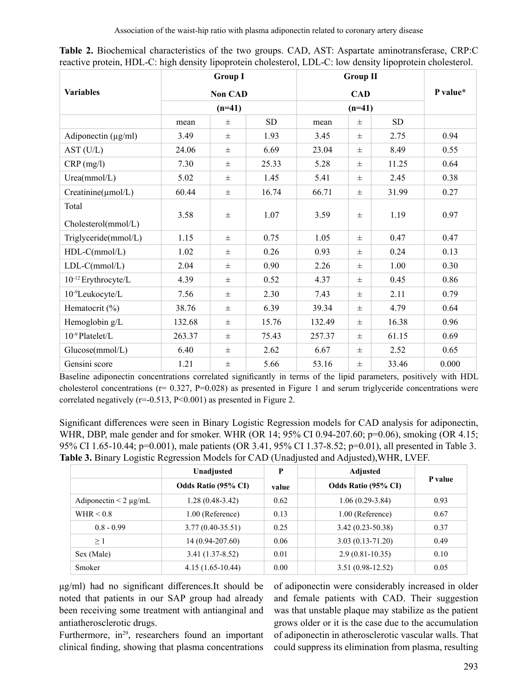Association of the waist-hip ratio with plasma adiponectin related to coronary artery disease

|                          | <b>Group I</b><br><b>Non CAD</b><br>$(n=41)$ |       |       | <b>Group II</b><br><b>CAD</b><br>$(n=41)$ |          |           | P value* |  |
|--------------------------|----------------------------------------------|-------|-------|-------------------------------------------|----------|-----------|----------|--|
| <b>Variables</b>         |                                              |       |       |                                           |          |           |          |  |
|                          |                                              |       |       |                                           |          |           |          |  |
|                          | mean                                         | 士     | SD    | mean                                      | $\pm$    | <b>SD</b> |          |  |
| Adiponectin $(\mu g/ml)$ | 3.49                                         | $\pm$ | 1.93  | 3.45                                      | $\pm$    | 2.75      | 0.94     |  |
| AST (U/L)                | 24.06                                        | $\pm$ | 6.69  | 23.04                                     | $\pm$    | 8.49      | 0.55     |  |
| $CRP$ (mg/l)             | 7.30                                         | $\pm$ | 25.33 | 5.28                                      | $\pm$    | 11.25     | 0.64     |  |
| Urea(mmol/L)             | 5.02                                         | $\pm$ | 1.45  | 5.41                                      | $\pm$    | 2.45      | 0.38     |  |
| Creatinine(µmol/L)       | 60.44                                        | $\pm$ | 16.74 | 66.71                                     | $\pm$    | 31.99     | 0.27     |  |
| Total                    |                                              |       |       |                                           |          |           |          |  |
| Cholesterol(mmol/L)      | 3.58                                         | $\pm$ | 1.07  | 3.59                                      | $\pm$    | 1.19      | 0.97     |  |
| Triglyceride(mmol/L)     | 1.15                                         | $\pm$ | 0.75  | 1.05                                      | $\pm$    | 0.47      | 0.47     |  |
| $HDL-C(mmol/L)$          | 1.02                                         | $\pm$ | 0.26  | 0.93                                      | $\pm$    | 0.24      | 0.13     |  |
| $LDL-C(mmol/L)$          | 2.04                                         | $\pm$ | 0.90  | 2.26                                      | $_{\pm}$ | 1.00      | 0.30     |  |
| 10-12 Erythrocyte/L      | 4.39                                         | $\pm$ | 0.52  | 4.37                                      | $\pm$    | 0.45      | 0.86     |  |
| 10-9Leukocyte/L          | 7.56                                         | $\pm$ | 2.30  | 7.43                                      | $\pm$    | 2.11      | 0.79     |  |
| Hematocrit $(\% )$       | 38.76                                        | $\pm$ | 6.39  | 39.34                                     | $\pm$    | 4.79      | 0.64     |  |
| Hemoglobin g/L           | 132.68                                       | $\pm$ | 15.76 | 132.49                                    | $_{\pm}$ | 16.38     | 0.96     |  |
| 10-9 Platelet/L          | 263.37                                       | $\pm$ | 75.43 | 257.37                                    | $\pm$    | 61.15     | 0.69     |  |
| Glucose(mmol/L)          | 6.40                                         | $\pm$ | 2.62  | 6.67                                      | $\pm$    | 2.52      | 0.65     |  |
| Gensini score            | 1.21                                         | $\pm$ | 5.66  | 53.16                                     | $\pm$    | 33.46     | 0.000    |  |

| Table 2. Biochemical characteristics of the two groups. CAD, AST: Aspartate aminotransferase, CRP:C        |  |  |  |  |
|------------------------------------------------------------------------------------------------------------|--|--|--|--|
| reactive protein, HDL-C: high density lipoprotein cholesterol, LDL-C: low density lipoprotein cholesterol. |  |  |  |  |

Baseline adiponectin concentrations correlated significantly in terms of the lipid parameters, positively with HDL cholesterol concentrations ( $r= 0.327$ , P=0.028) as presented in Figure 1 and serum triglyceride concentrations were correlated negatively (r=-0.513, P<0.001) as presented in Figure 2.

Significant differences were seen in Binary Logistic Regression models for CAD analysis for adiponectin, WHR, DBP, male gender and for smoker. WHR (OR 14; 95% CI 0.94-207.60; p=0.06), smoking (OR 4.15; 95% CI 1.65-10.44; p=0.001), male patients (OR 3.41, 95% CI 1.37-8.52; p=0.01), all presented in Table 3. **Table 3.** Binary Logistic Regression Models for CAD (Unadjusted and Adjusted),WHR, LVEF.

|                            | Unadjusted                 | P     | <b>Adjusted</b>      |         |  |
|----------------------------|----------------------------|-------|----------------------|---------|--|
|                            | <b>Odds Ratio (95% CI)</b> | value | Odds Ratio (95% CI)  | P value |  |
| Adiponectin $\leq$ 2 µg/mL | $1.28(0.48-3.42)$          | 0.62  | $1.06(0.29-3.84)$    | 0.93    |  |
| WHR $\leq 0.8$             | 1.00 (Reference)           | 0.13  | 1.00 (Reference)     | 0.67    |  |
| $0.8 - 0.99$               | $3.77(0.40 - 35.51)$       | 0.25  | $3.42(0.23 - 50.38)$ | 0.37    |  |
| $\geq 1$                   | 14 (0.94-207.60)           | 0.06  | $3.03(0.13 - 71.20)$ | 0.49    |  |
| Sex (Male)                 | $3.41(1.37-8.52)$          | 0.01  | $2.9(0.81-10.35)$    | 0.10    |  |
| Smoker                     | $4.15(1.65-10.44)$         | 0.00  | $3.51(0.98-12.52)$   | 0.05    |  |

μg/ml) had no significant differences.It should be noted that patients in our SAP group had already been receiving some treatment with antianginal and antiatherosclerotic drugs.

Furthermore, in<sup>29</sup>, researchers found an important clinical finding, showing that plasma concentrations of adiponectin were considerably increased in older and female patients with CAD. Their suggestion was that unstable plaque may stabilize as the patient grows older or it is the case due to the accumulation of adiponectin in atherosclerotic vascular walls. That could suppress its elimination from plasma, resulting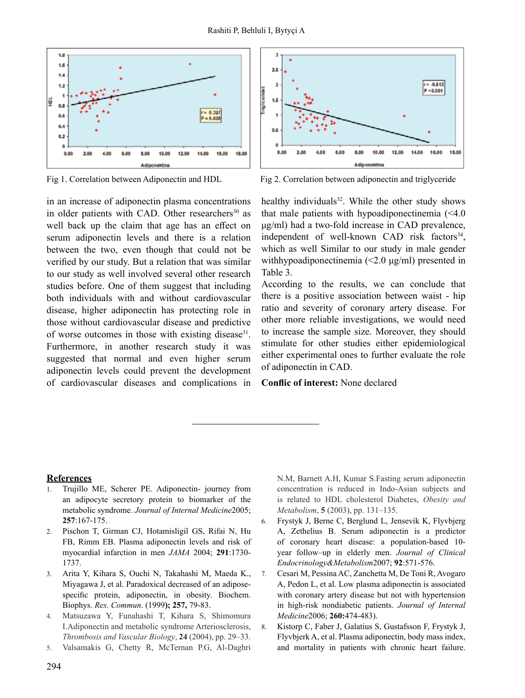

in an increase of adiponectin plasma concentrations in older patients with CAD. Other researchers<sup>30</sup> as well back up the claim that age has an effect on serum adiponectin levels and there is a relation between the two, even though that could not be verified by our study. But a relation that was similar to our study as well involved several other research studies before. One of them suggest that including both individuals with and without cardiovascular disease, higher adiponectin has protecting role in those without cardiovascular disease and predictive of worse outcomes in those with existing disease<sup>31</sup>. Furthermore, in another research study it was suggested that normal and even higher serum adiponectin levels could prevent the development of cardiovascular diseases and complications in



Fig 1. Correlation between Adiponectin and HDL Fig 2. Correlation between adiponectin and triglyceride

healthy individuals<sup>32</sup>. While the other study shows that male patients with hypoadiponectinemia (<4.0 μg/ml) had a two-fold increase in CAD prevalence, independent of well-known CAD risk factors<sup>34</sup>, which as well Similar to our study in male gender withhypoadiponectinemia (<2.0 μg/ml) presented in Table 3.

According to the results, we can conclude that there is a positive association between waist - hip ratio and severity of coronary artery disease. For other more reliable investigations, we would need to increase the sample size. Moreover, they should stimulate for other studies either epidemiological either experimental ones to further evaluate the role of adiponectin in CAD.

**Conflic of interest:** None declared

#### **References**

- 1. Trujillo ME, Scherer PE. Adiponectin- journey from an adipocyte secretory protein to biomarker of the metabolic syndrome. *Journal of Internal Medicine*2005; **257**:167-175.
- 2. Pischon T, Girman CJ, Hotamisligil GS, Rifai N, Hu FB, Rimm EB. Plasma adiponectin levels and risk of myocardial infarction in men *JAMA* 2004; **291**:1730- 1737.
- 3. Arita Y, Kihara S, Ouchi N, Takahashi M, Maeda K., Miyagawa J, et al. Paradoxical decreased of an adiposespecific protein, adiponectin, in obesity. Biochem. Biophys. *Res. Commun*. (1999**); 257,** 79-83.
- 4. Matsuzawa Y, Funahashi T, Kihara S, Shimomura I.Adiponectin and metabolic syndrome Arteriosclerosis, *Thrombosis and Vascular Biology*, **24** (2004), pp. 29–33.
- 5. Valsamakis G, Chetty R, McTernan P.G, Al-Daghri

N.M, Barnett A.H, Kumar S.Fasting serum adiponectin concentration is reduced in Indo-Asian subjects and is related to HDL cholesterol Diabetes, *Obesity and Metabolism*, **5** (2003), pp. 131–135.

- 6. Frystyk J, Berne C, Berglund L, Jensevik K, Flyvbjerg A, Zethelius B. Serum adiponectin is a predictor of coronary heart disease: a population-based 10 year follow–up in elderly men. *Journal of Clinical Endocrinology&Metabolism*2007; **92**:571-576.
- 7. Cesari M, Pessina AC, Zanchetta M, De Toni R, Avogaro A, Pedon L, et al. Low plasma adiponectin is associated with coronary artery disease but not with hypertension in high-risk nondiabetic patients. *Journal of Internal Medicine*2006; **260:**474-483).
- 8. Kistorp C, Faber J, Galatius S, Gustafsson F, Frystyk J, Flyvbjerk A, et al. Plasma adiponectin, body mass index, and mortality in patients with chronic heart failure.